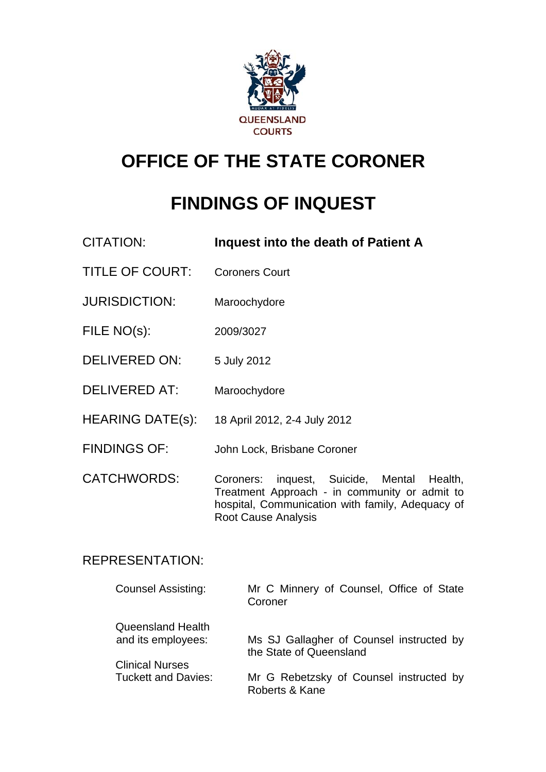

# **OFFICE OF THE STATE CORONER**

# **FINDINGS OF INQUEST**

- CITATION: **Inquest into the death of Patient A**
- TITLE OF COURT: Coroners Court
- JURISDICTION: Maroochydore
- FILE NO(s): 2009/3027
- DELIVERED ON: 5 July 2012
- DELIVERED AT: Maroochydore
- HEARING DATE(s): 18 April 2012, 2-4 July 2012
- FINDINGS OF: John Lock, Brisbane Coroner
- CATCHWORDS: Coroners: inquest, Suicide, Mental Health, Treatment Approach - in community or admit to hospital, Communication with family, Adequacy of Root Cause Analysis

#### REPRESENTATION:

| <b>Counsel Assisting:</b>               | Mr C Minnery of Counsel, Office of State<br>Coroner                 |
|-----------------------------------------|---------------------------------------------------------------------|
| Queensland Health<br>and its employees: | Ms SJ Gallagher of Counsel instructed by<br>the State of Queensland |
| <b>Clinical Nurses</b>                  |                                                                     |
| <b>Tuckett and Davies:</b>              | Mr G Rebetzsky of Counsel instructed by<br>Roberts & Kane           |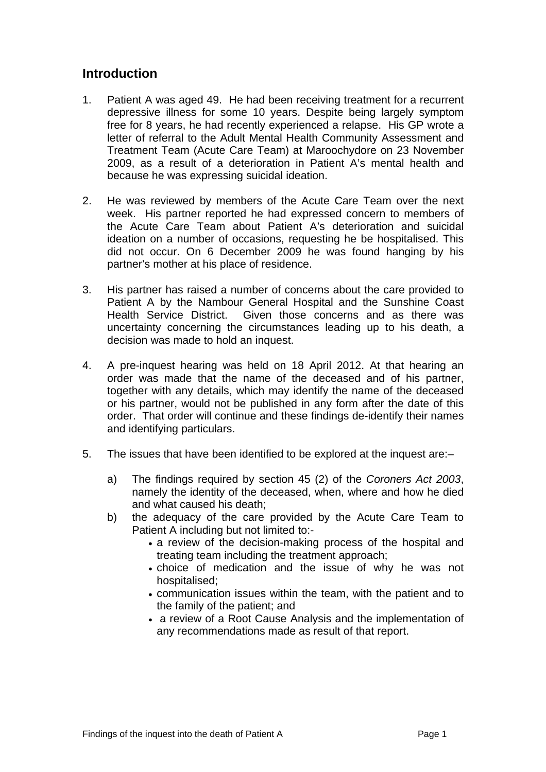#### **Introduction**

- 1. Patient A was aged 49. He had been receiving treatment for a recurrent depressive illness for some 10 years. Despite being largely symptom free for 8 years, he had recently experienced a relapse. His GP wrote a letter of referral to the Adult Mental Health Community Assessment and Treatment Team (Acute Care Team) at Maroochydore on 23 November 2009, as a result of a deterioration in Patient A's mental health and because he was expressing suicidal ideation.
- 2. He was reviewed by members of the Acute Care Team over the next week. His partner reported he had expressed concern to members of the Acute Care Team about Patient A's deterioration and suicidal ideation on a number of occasions, requesting he be hospitalised. This did not occur. On 6 December 2009 he was found hanging by his partner's mother at his place of residence.
- 3. His partner has raised a number of concerns about the care provided to Patient A by the Nambour General Hospital and the Sunshine Coast Health Service District. Given those concerns and as there was uncertainty concerning the circumstances leading up to his death, a decision was made to hold an inquest.
- 4. A pre-inquest hearing was held on 18 April 2012. At that hearing an order was made that the name of the deceased and of his partner, together with any details, which may identify the name of the deceased or his partner, would not be published in any form after the date of this order. That order will continue and these findings de-identify their names and identifying particulars.
- 5. The issues that have been identified to be explored at the inquest are:–
	- a) The findings required by section 45 (2) of the *Coroners Act 2003*, namely the identity of the deceased, when, where and how he died and what caused his death;
	- b) the adequacy of the care provided by the Acute Care Team to Patient A including but not limited to:-
		- a review of the decision-making process of the hospital and treating team including the treatment approach;
		- choice of medication and the issue of why he was not hospitalised;
		- communication issues within the team, with the patient and to the family of the patient; and
		- a review of a Root Cause Analysis and the implementation of any recommendations made as result of that report.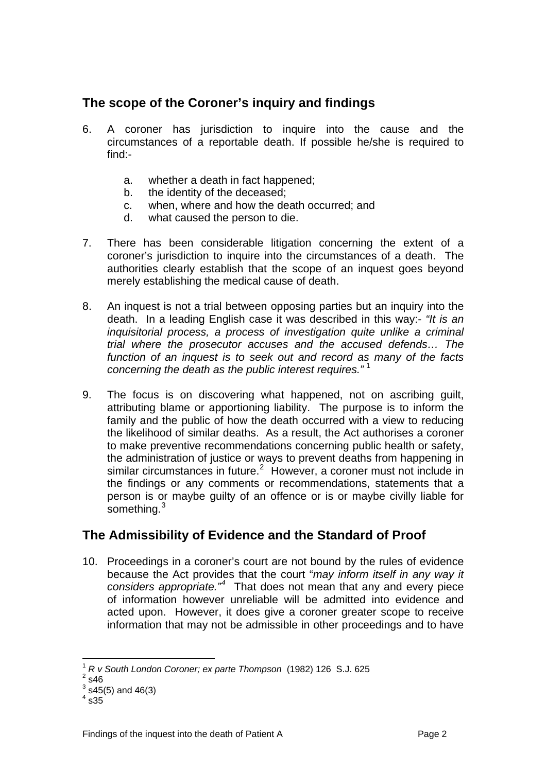## **The scope of the Coroner's inquiry and findings**

- 6. A coroner has jurisdiction to inquire into the cause and the circumstances of a reportable death. If possible he/she is required to find:
	- a. whether a death in fact happened;
	- b. the identity of the deceased;
	- c. when, where and how the death occurred; and
	- d. what caused the person to die.
- 7. There has been considerable litigation concerning the extent of a coroner's jurisdiction to inquire into the circumstances of a death. The authorities clearly establish that the scope of an inquest goes beyond merely establishing the medical cause of death.
- 8. An inquest is not a trial between opposing parties but an inquiry into the death. In a leading English case it was described in this way:- *"It is an inquisitorial process, a process of investigation quite unlike a criminal trial where the prosecutor accuses and the accused defends… The function of an inquest is to seek out and record as many of the facts concerning the death as the public interest requires."* [1](#page-2-0)
- 9. The focus is on discovering what happened, not on ascribing guilt, attributing blame or apportioning liability. The purpose is to inform the family and the public of how the death occurred with a view to reducing the likelihood of similar deaths. As a result, the Act authorises a coroner to make preventive recommendations concerning public health or safety, the administration of justice or ways to prevent deaths from happening in similar circumstances in future. $2$  However, a coroner must not include in the findings or any comments or recommendations, statements that a person is or maybe guilty of an offence or is or maybe civilly liable for something.<sup>[3](#page-2-2)</sup>

## **The Admissibility of Evidence and the Standard of Proof**

10. Proceedings in a coroner's court are not bound by the rules of evidence because the Act provides that the court "*may inform itself in any way it*  considers appropriate.<sup>"[4](#page-2-3)</sup> That does not mean that any and every piece of information however unreliable will be admitted into evidence and acted upon. However, it does give a coroner greater scope to receive information that may not be admissible in other proceedings and to have

l

<sup>1</sup> *R v South London Coroner; ex parte Thompson* (1982) 126 S.J. 625 <sup>2</sup>

<span id="page-2-1"></span><span id="page-2-0"></span> $2$  s46

<span id="page-2-2"></span> $3$  s45(5) and 46(3)

<span id="page-2-3"></span> $^4$  s35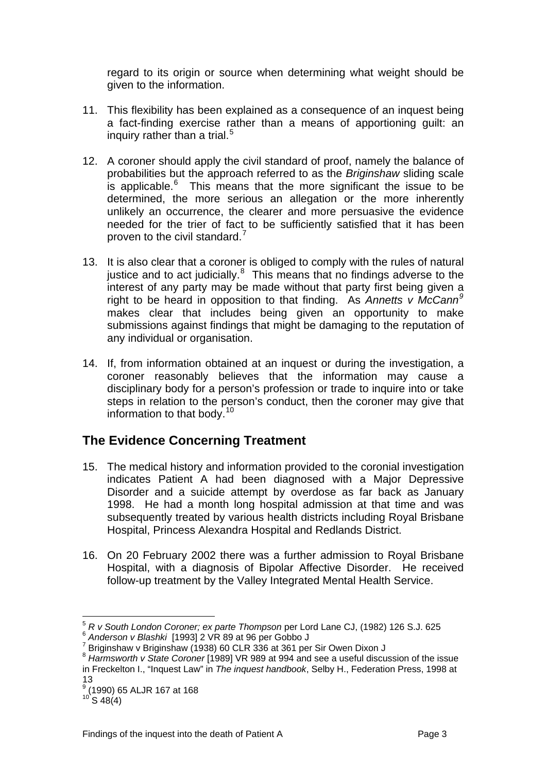regard to its origin or source when determining what weight should be given to the information.

- 11. This flexibility has been explained as a consequence of an inquest being a fact-finding exercise rather than a means of apportioning guilt: an inquiry rather than a trial. $5$
- 12. A coroner should apply the civil standard of proof, namely the balance of probabilities but the approach referred to as the *Briginshaw* sliding scale is applicable. $6$  This means that the more significant the issue to be determined, the more serious an allegation or the more inherently unlikely an occurrence, the clearer and more persuasive the evidence needed for the trier of fact to be sufficiently satisfied that it has been proven to the civil standard.<sup>[7](#page-3-2)</sup>
- 13. It is also clear that a coroner is obliged to comply with the rules of natural justice and to act judicially. $8$  This means that no findings adverse to the interest of any party may be made without that party first being given a right to be heard in opposition to that finding. As *Annetts v McCann[9](#page-3-4)* makes clear that includes being given an opportunity to make submissions against findings that might be damaging to the reputation of any individual or organisation.
- 14. If, from information obtained at an inquest or during the investigation, a coroner reasonably believes that the information may cause a disciplinary body for a person's profession or trade to inquire into or take steps in relation to the person's conduct, then the coroner may give that information to that body.[10](#page-3-5)

## **The Evidence Concerning Treatment**

- 15. The medical history and information provided to the coronial investigation indicates Patient A had been diagnosed with a Major Depressive Disorder and a suicide attempt by overdose as far back as January 1998. He had a month long hospital admission at that time and was subsequently treated by various health districts including Royal Brisbane Hospital, Princess Alexandra Hospital and Redlands District.
- 16. On 20 February 2002 there was a further admission to Royal Brisbane Hospital, with a diagnosis of Bipolar Affective Disorder. He received follow-up treatment by the Valley Integrated Mental Health Service.

<span id="page-3-3"></span><sup>8</sup> *Harmsworth v State Coroner* [1989] VR 989 at 994 and see a useful discussion of the issue in Freckelton I., "Inquest Law" in *The inquest handbook*, Selby H., Federation Press, 1998 at 13

 $\overline{a}$ 

<span id="page-3-1"></span><span id="page-3-0"></span><sup>&</sup>lt;sup>5</sup> *R v South London Coroner; ex parte Thompson* per Lord Lane CJ, (1982) 126 S.J. 625 *Anderson v Blashki* [1993] 2 VR 89 at 96 per Gobbo J

<span id="page-3-2"></span>Briginshaw v Briginshaw (1938) 60 CLR 336 at 361 per Sir Owen Dixon J

<span id="page-3-4"></span><sup>9</sup> (1990) 65 ALJR 167 at 168

<span id="page-3-5"></span> $10^{10}$  S 48(4)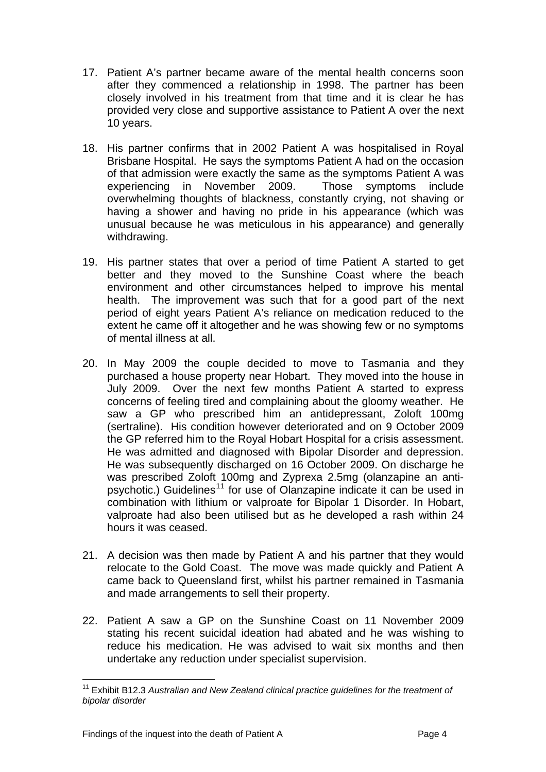- 17. Patient A's partner became aware of the mental health concerns soon after they commenced a relationship in 1998. The partner has been closely involved in his treatment from that time and it is clear he has provided very close and supportive assistance to Patient A over the next 10 years.
- 18. His partner confirms that in 2002 Patient A was hospitalised in Royal Brisbane Hospital. He says the symptoms Patient A had on the occasion of that admission were exactly the same as the symptoms Patient A was experiencing in November 2009. Those symptoms include overwhelming thoughts of blackness, constantly crying, not shaving or having a shower and having no pride in his appearance (which was unusual because he was meticulous in his appearance) and generally withdrawing.
- 19. His partner states that over a period of time Patient A started to get better and they moved to the Sunshine Coast where the beach environment and other circumstances helped to improve his mental health. The improvement was such that for a good part of the next period of eight years Patient A's reliance on medication reduced to the extent he came off it altogether and he was showing few or no symptoms of mental illness at all.
- 20. In May 2009 the couple decided to move to Tasmania and they purchased a house property near Hobart. They moved into the house in July 2009. Over the next few months Patient A started to express concerns of feeling tired and complaining about the gloomy weather. He saw a GP who prescribed him an antidepressant, Zoloft 100mg (sertraline). His condition however deteriorated and on 9 October 2009 the GP referred him to the Royal Hobart Hospital for a crisis assessment. He was admitted and diagnosed with Bipolar Disorder and depression. He was subsequently discharged on 16 October 2009. On discharge he was prescribed Zoloft 100mg and Zyprexa 2.5mg (olanzapine an anti-psychotic.) Guidelines<sup>[11](#page-4-0)</sup> for use of Olanzapine indicate it can be used in combination with lithium or valproate for Bipolar 1 Disorder. In Hobart, valproate had also been utilised but as he developed a rash within 24 hours it was ceased.
- 21. A decision was then made by Patient A and his partner that they would relocate to the Gold Coast. The move was made quickly and Patient A came back to Queensland first, whilst his partner remained in Tasmania and made arrangements to sell their property.
- 22. Patient A saw a GP on the Sunshine Coast on 11 November 2009 stating his recent suicidal ideation had abated and he was wishing to reduce his medication. He was advised to wait six months and then undertake any reduction under specialist supervision.

<span id="page-4-0"></span>l <sup>11</sup> Exhibit B12.3 Australian and New Zealand clinical practice guidelines for the treatment of *bipolar disorder*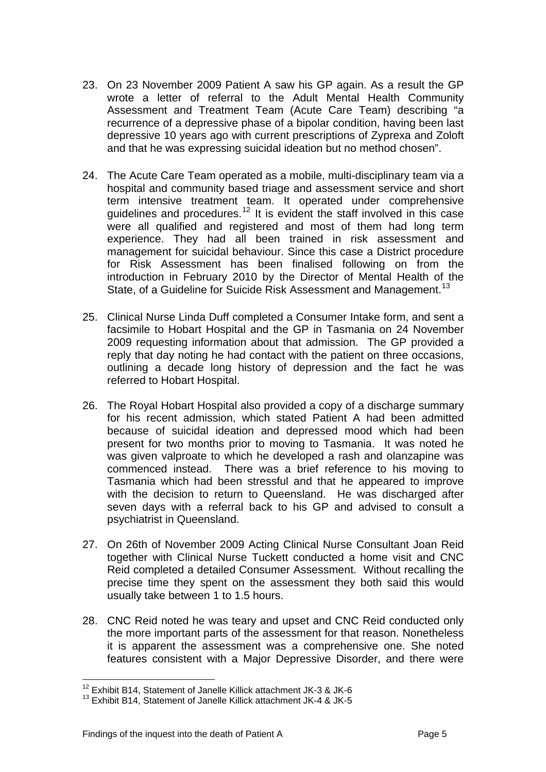- 23. On 23 November 2009 Patient A saw his GP again. As a result the GP wrote a letter of referral to the Adult Mental Health Community Assessment and Treatment Team (Acute Care Team) describing "a recurrence of a depressive phase of a bipolar condition, having been last depressive 10 years ago with current prescriptions of Zyprexa and Zoloft and that he was expressing suicidal ideation but no method chosen".
- 24. The Acute Care Team operated as a mobile, multi-disciplinary team via a hospital and community based triage and assessment service and short term intensive treatment team. It operated under comprehensive quidelines and procedures.<sup>[12](#page-5-0)</sup> It is evident the staff involved in this case were all qualified and registered and most of them had long term experience. They had all been trained in risk assessment and management for suicidal behaviour. Since this case a District procedure for Risk Assessment has been finalised following on from the introduction in February 2010 by the Director of Mental Health of the State, of a Guideline for Suicide Risk Assessment and Management.<sup>[13](#page-5-1)</sup>
- 25. Clinical Nurse Linda Duff completed a Consumer Intake form, and sent a facsimile to Hobart Hospital and the GP in Tasmania on 24 November 2009 requesting information about that admission. The GP provided a reply that day noting he had contact with the patient on three occasions, outlining a decade long history of depression and the fact he was referred to Hobart Hospital.
- 26. The Royal Hobart Hospital also provided a copy of a discharge summary for his recent admission, which stated Patient A had been admitted because of suicidal ideation and depressed mood which had been present for two months prior to moving to Tasmania. It was noted he was given valproate to which he developed a rash and olanzapine was commenced instead. There was a brief reference to his moving to Tasmania which had been stressful and that he appeared to improve with the decision to return to Queensland. He was discharged after seven days with a referral back to his GP and advised to consult a psychiatrist in Queensland.
- 27. On 26th of November 2009 Acting Clinical Nurse Consultant Joan Reid together with Clinical Nurse Tuckett conducted a home visit and CNC Reid completed a detailed Consumer Assessment. Without recalling the precise time they spent on the assessment they both said this would usually take between 1 to 1.5 hours.
- 28. CNC Reid noted he was teary and upset and CNC Reid conducted only the more important parts of the assessment for that reason. Nonetheless it is apparent the assessment was a comprehensive one. She noted features consistent with a Major Depressive Disorder, and there were

l 12 Exhibit B14, Statement of Janelle Killick attachment JK-3 & JK-6

<span id="page-5-1"></span><span id="page-5-0"></span><sup>13</sup> Exhibit B14, Statement of Janelle Killick attachment JK-4 & JK-5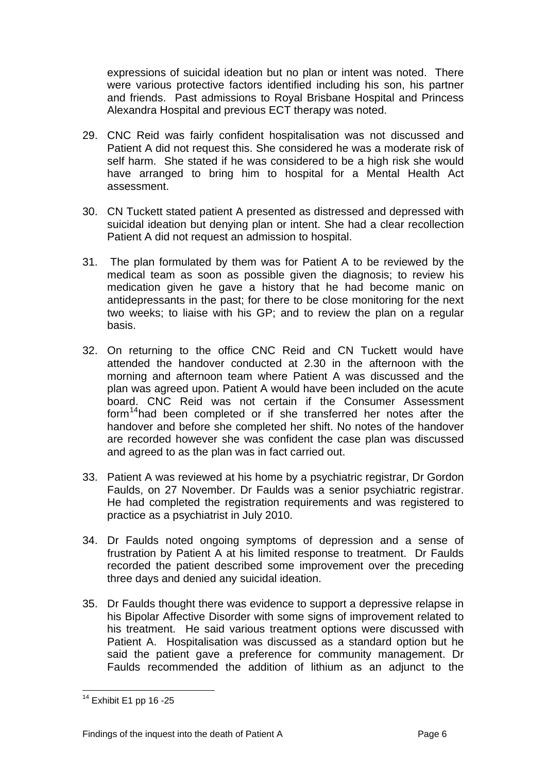expressions of suicidal ideation but no plan or intent was noted. There were various protective factors identified including his son, his partner and friends. Past admissions to Royal Brisbane Hospital and Princess Alexandra Hospital and previous ECT therapy was noted.

- 29. CNC Reid was fairly confident hospitalisation was not discussed and Patient A did not request this. She considered he was a moderate risk of self harm. She stated if he was considered to be a high risk she would have arranged to bring him to hospital for a Mental Health Act assessment.
- 30. CN Tuckett stated patient A presented as distressed and depressed with suicidal ideation but denying plan or intent. She had a clear recollection Patient A did not request an admission to hospital.
- 31. The plan formulated by them was for Patient A to be reviewed by the medical team as soon as possible given the diagnosis; to review his medication given he gave a history that he had become manic on antidepressants in the past; for there to be close monitoring for the next two weeks; to liaise with his GP; and to review the plan on a regular basis.
- 32. On returning to the office CNC Reid and CN Tuckett would have attended the handover conducted at 2.30 in the afternoon with the morning and afternoon team where Patient A was discussed and the plan was agreed upon. Patient A would have been included on the acute board. CNC Reid was not certain if the Consumer Assessment form<sup>[14](#page-6-0)</sup>had been completed or if she transferred her notes after the handover and before she completed her shift. No notes of the handover are recorded however she was confident the case plan was discussed and agreed to as the plan was in fact carried out.
- 33. Patient A was reviewed at his home by a psychiatric registrar, Dr Gordon Faulds, on 27 November. Dr Faulds was a senior psychiatric registrar. He had completed the registration requirements and was registered to practice as a psychiatrist in July 2010.
- 34. Dr Faulds noted ongoing symptoms of depression and a sense of frustration by Patient A at his limited response to treatment. Dr Faulds recorded the patient described some improvement over the preceding three days and denied any suicidal ideation.
- 35. Dr Faulds thought there was evidence to support a depressive relapse in his Bipolar Affective Disorder with some signs of improvement related to his treatment. He said various treatment options were discussed with Patient A. Hospitalisation was discussed as a standard option but he said the patient gave a preference for community management. Dr Faulds recommended the addition of lithium as an adjunct to the

l

<span id="page-6-0"></span> $14$  Exhibit E1 pp 16 -25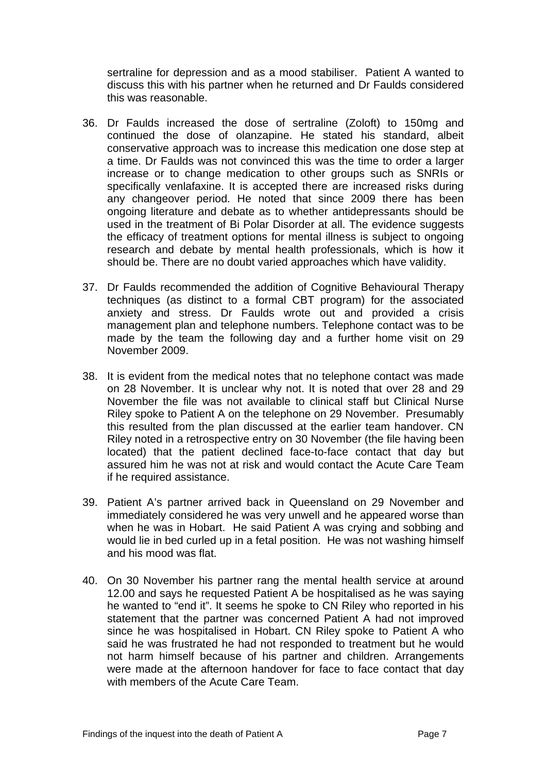sertraline for depression and as a mood stabiliser. Patient A wanted to discuss this with his partner when he returned and Dr Faulds considered this was reasonable.

- 36. Dr Faulds increased the dose of sertraline (Zoloft) to 150mg and continued the dose of olanzapine. He stated his standard, albeit conservative approach was to increase this medication one dose step at a time. Dr Faulds was not convinced this was the time to order a larger increase or to change medication to other groups such as SNRIs or specifically venlafaxine. It is accepted there are increased risks during any changeover period. He noted that since 2009 there has been ongoing literature and debate as to whether antidepressants should be used in the treatment of Bi Polar Disorder at all. The evidence suggests the efficacy of treatment options for mental illness is subject to ongoing research and debate by mental health professionals, which is how it should be. There are no doubt varied approaches which have validity.
- 37. Dr Faulds recommended the addition of Cognitive Behavioural Therapy techniques (as distinct to a formal CBT program) for the associated anxiety and stress. Dr Faulds wrote out and provided a crisis management plan and telephone numbers. Telephone contact was to be made by the team the following day and a further home visit on 29 November 2009.
- 38. It is evident from the medical notes that no telephone contact was made on 28 November. It is unclear why not. It is noted that over 28 and 29 November the file was not available to clinical staff but Clinical Nurse Riley spoke to Patient A on the telephone on 29 November. Presumably this resulted from the plan discussed at the earlier team handover. CN Riley noted in a retrospective entry on 30 November (the file having been located) that the patient declined face-to-face contact that day but assured him he was not at risk and would contact the Acute Care Team if he required assistance.
- 39. Patient A's partner arrived back in Queensland on 29 November and immediately considered he was very unwell and he appeared worse than when he was in Hobart. He said Patient A was crying and sobbing and would lie in bed curled up in a fetal position. He was not washing himself and his mood was flat.
- 40. On 30 November his partner rang the mental health service at around 12.00 and says he requested Patient A be hospitalised as he was saying he wanted to "end it". It seems he spoke to CN Riley who reported in his statement that the partner was concerned Patient A had not improved since he was hospitalised in Hobart. CN Riley spoke to Patient A who said he was frustrated he had not responded to treatment but he would not harm himself because of his partner and children. Arrangements were made at the afternoon handover for face to face contact that day with members of the Acute Care Team.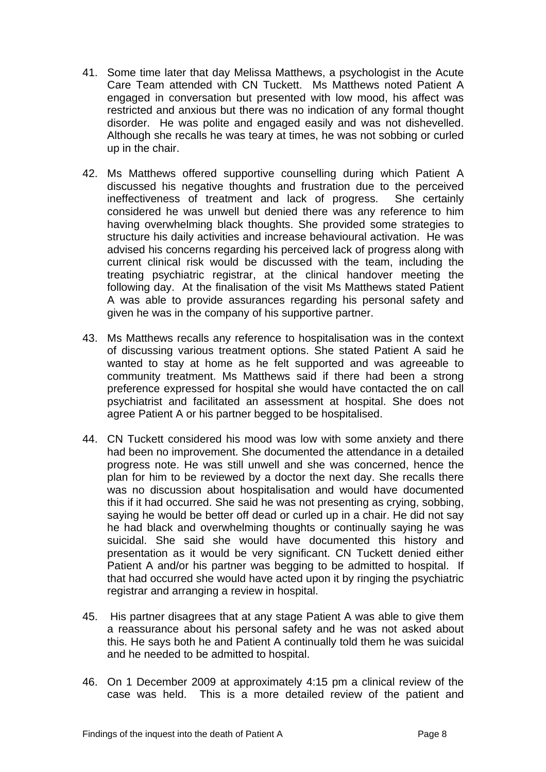- 41. Some time later that day Melissa Matthews, a psychologist in the Acute Care Team attended with CN Tuckett. Ms Matthews noted Patient A engaged in conversation but presented with low mood, his affect was restricted and anxious but there was no indication of any formal thought disorder. He was polite and engaged easily and was not dishevelled. Although she recalls he was teary at times, he was not sobbing or curled up in the chair.
- 42. Ms Matthews offered supportive counselling during which Patient A discussed his negative thoughts and frustration due to the perceived ineffectiveness of treatment and lack of progress. She certainly considered he was unwell but denied there was any reference to him having overwhelming black thoughts. She provided some strategies to structure his daily activities and increase behavioural activation. He was advised his concerns regarding his perceived lack of progress along with current clinical risk would be discussed with the team, including the treating psychiatric registrar, at the clinical handover meeting the following day. At the finalisation of the visit Ms Matthews stated Patient A was able to provide assurances regarding his personal safety and given he was in the company of his supportive partner.
- 43. Ms Matthews recalls any reference to hospitalisation was in the context of discussing various treatment options. She stated Patient A said he wanted to stay at home as he felt supported and was agreeable to community treatment. Ms Matthews said if there had been a strong preference expressed for hospital she would have contacted the on call psychiatrist and facilitated an assessment at hospital. She does not agree Patient A or his partner begged to be hospitalised.
- 44. CN Tuckett considered his mood was low with some anxiety and there had been no improvement. She documented the attendance in a detailed progress note. He was still unwell and she was concerned, hence the plan for him to be reviewed by a doctor the next day. She recalls there was no discussion about hospitalisation and would have documented this if it had occurred. She said he was not presenting as crying, sobbing, saying he would be better off dead or curled up in a chair. He did not say he had black and overwhelming thoughts or continually saying he was suicidal. She said she would have documented this history and presentation as it would be very significant. CN Tuckett denied either Patient A and/or his partner was begging to be admitted to hospital. If that had occurred she would have acted upon it by ringing the psychiatric registrar and arranging a review in hospital.
- 45. His partner disagrees that at any stage Patient A was able to give them a reassurance about his personal safety and he was not asked about this. He says both he and Patient A continually told them he was suicidal and he needed to be admitted to hospital.
- 46. On 1 December 2009 at approximately 4:15 pm a clinical review of the case was held. This is a more detailed review of the patient and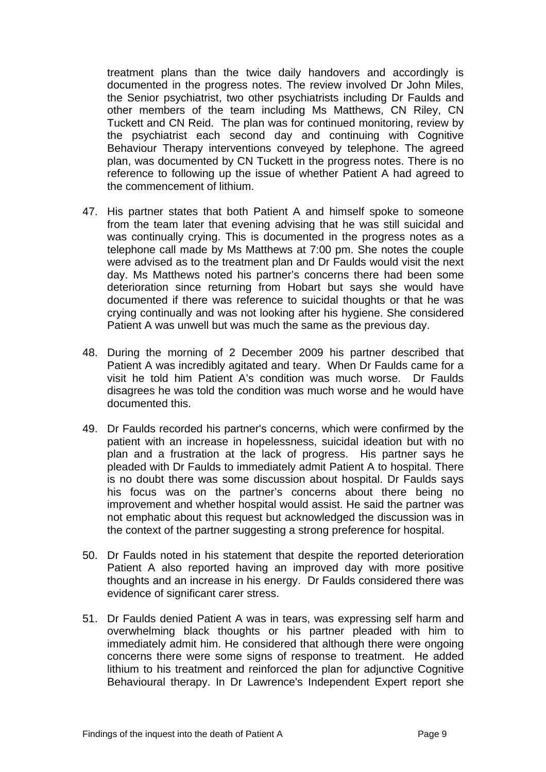treatment plans than the twice daily handovers and accordingly is documented in the progress notes. The review involved Dr John Miles, the Senior psychiatrist, two other psychiatrists including Dr Faulds and other members of the team including Ms Matthews, CN Riley, CN Tuckett and CN Reid. The plan was for continued monitoring, review by the psychiatrist each second day and continuing with Cognitive Behaviour Therapy interventions conveyed by telephone. The agreed plan, was documented by CN Tuckett in the progress notes. There is no reference to following up the issue of whether Patient A had agreed to the commencement of lithium.

- 47. His partner states that both Patient A and himself spoke to someone from the team later that evening advising that he was still suicidal and was continually crying. This is documented in the progress notes as a telephone call made by Ms Matthews at 7:00 pm. She notes the couple were advised as to the treatment plan and Dr Faulds would visit the next day. Ms Matthews noted his partner's concerns there had been some deterioration since returning from Hobart but says she would have documented if there was reference to suicidal thoughts or that he was crying continually and was not looking after his hygiene. She considered Patient A was unwell but was much the same as the previous day.
- 48. During the morning of 2 December 2009 his partner described that Patient A was incredibly agitated and teary. When Dr Faulds came for a visit he told him Patient A's condition was much worse. Dr Faulds disagrees he was told the condition was much worse and he would have documented this.
- 49. Dr Faulds recorded his partner's concerns, which were confirmed by the patient with an increase in hopelessness, suicidal ideation but with no plan and a frustration at the lack of progress. His partner says he pleaded with Dr Faulds to immediately admit Patient A to hospital. There is no doubt there was some discussion about hospital. Dr Faulds says his focus was on the partner's concerns about there being no improvement and whether hospital would assist. He said the partner was not emphatic about this request but acknowledged the discussion was in the context of the partner suggesting a strong preference for hospital.
- 50. Dr Faulds noted in his statement that despite the reported deterioration Patient A also reported having an improved day with more positive thoughts and an increase in his energy. Dr Faulds considered there was evidence of significant carer stress.
- 51. Dr Faulds denied Patient A was in tears, was expressing self harm and overwhelming black thoughts or his partner pleaded with him to immediately admit him. He considered that although there were ongoing concerns there were some signs of response to treatment. He added lithium to his treatment and reinforced the plan for adjunctive Cognitive Behavioural therapy. In Dr Lawrence's Independent Expert report she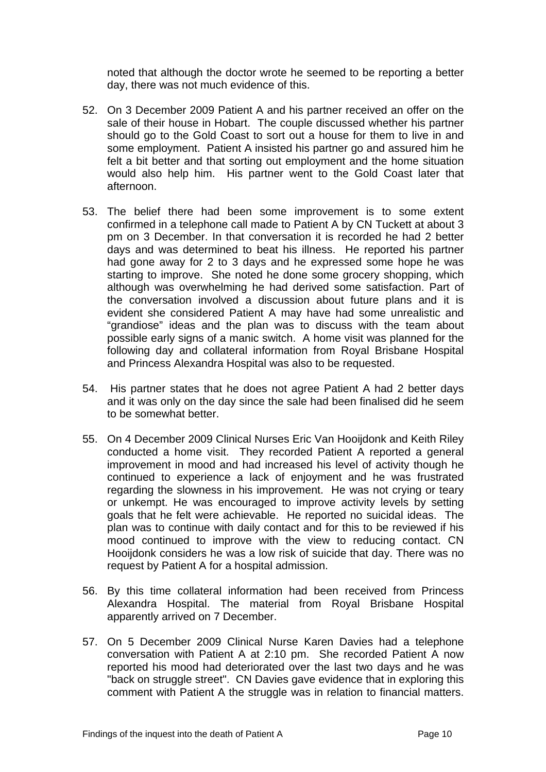noted that although the doctor wrote he seemed to be reporting a better day, there was not much evidence of this.

- 52. On 3 December 2009 Patient A and his partner received an offer on the sale of their house in Hobart. The couple discussed whether his partner should go to the Gold Coast to sort out a house for them to live in and some employment. Patient A insisted his partner go and assured him he felt a bit better and that sorting out employment and the home situation would also help him. His partner went to the Gold Coast later that afternoon.
- 53. The belief there had been some improvement is to some extent confirmed in a telephone call made to Patient A by CN Tuckett at about 3 pm on 3 December. In that conversation it is recorded he had 2 better days and was determined to beat his illness. He reported his partner had gone away for 2 to 3 days and he expressed some hope he was starting to improve. She noted he done some grocery shopping, which although was overwhelming he had derived some satisfaction. Part of the conversation involved a discussion about future plans and it is evident she considered Patient A may have had some unrealistic and "grandiose" ideas and the plan was to discuss with the team about possible early signs of a manic switch. A home visit was planned for the following day and collateral information from Royal Brisbane Hospital and Princess Alexandra Hospital was also to be requested.
- 54. His partner states that he does not agree Patient A had 2 better days and it was only on the day since the sale had been finalised did he seem to be somewhat better.
- 55. On 4 December 2009 Clinical Nurses Eric Van Hooijdonk and Keith Riley conducted a home visit. They recorded Patient A reported a general improvement in mood and had increased his level of activity though he continued to experience a lack of enjoyment and he was frustrated regarding the slowness in his improvement. He was not crying or teary or unkempt. He was encouraged to improve activity levels by setting goals that he felt were achievable. He reported no suicidal ideas. The plan was to continue with daily contact and for this to be reviewed if his mood continued to improve with the view to reducing contact. CN Hooijdonk considers he was a low risk of suicide that day. There was no request by Patient A for a hospital admission.
- 56. By this time collateral information had been received from Princess Alexandra Hospital. The material from Royal Brisbane Hospital apparently arrived on 7 December.
- 57. On 5 December 2009 Clinical Nurse Karen Davies had a telephone conversation with Patient A at 2:10 pm. She recorded Patient A now reported his mood had deteriorated over the last two days and he was "back on struggle street". CN Davies gave evidence that in exploring this comment with Patient A the struggle was in relation to financial matters.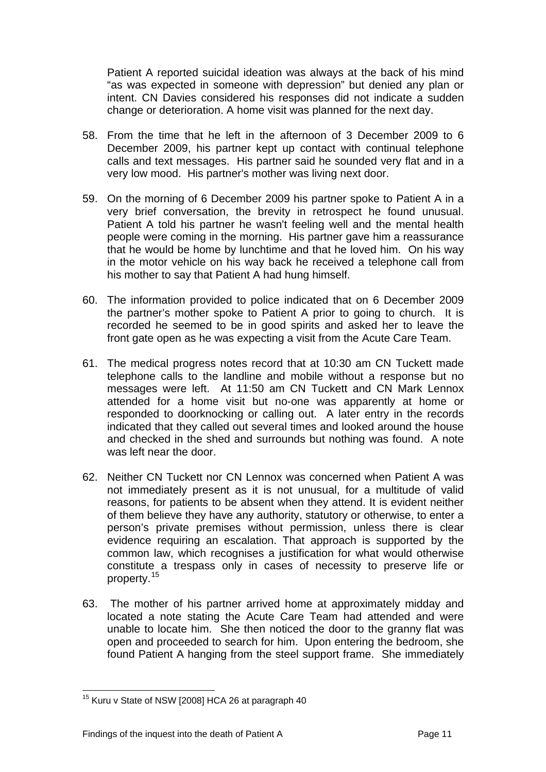Patient A reported suicidal ideation was always at the back of his mind "as was expected in someone with depression" but denied any plan or intent. CN Davies considered his responses did not indicate a sudden change or deterioration. A home visit was planned for the next day.

- 58. From the time that he left in the afternoon of 3 December 2009 to 6 December 2009, his partner kept up contact with continual telephone calls and text messages. His partner said he sounded very flat and in a very low mood. His partner's mother was living next door.
- 59. On the morning of 6 December 2009 his partner spoke to Patient A in a very brief conversation, the brevity in retrospect he found unusual. Patient A told his partner he wasn't feeling well and the mental health people were coming in the morning. His partner gave him a reassurance that he would be home by lunchtime and that he loved him. On his way in the motor vehicle on his way back he received a telephone call from his mother to say that Patient A had hung himself.
- 60. The information provided to police indicated that on 6 December 2009 the partner's mother spoke to Patient A prior to going to church. It is recorded he seemed to be in good spirits and asked her to leave the front gate open as he was expecting a visit from the Acute Care Team.
- 61. The medical progress notes record that at 10:30 am CN Tuckett made telephone calls to the landline and mobile without a response but no messages were left. At 11:50 am CN Tuckett and CN Mark Lennox attended for a home visit but no-one was apparently at home or responded to doorknocking or calling out. A later entry in the records indicated that they called out several times and looked around the house and checked in the shed and surrounds but nothing was found. A note was left near the door.
- 62. Neither CN Tuckett nor CN Lennox was concerned when Patient A was not immediately present as it is not unusual, for a multitude of valid reasons, for patients to be absent when they attend. It is evident neither of them believe they have any authority, statutory or otherwise, to enter a person's private premises without permission, unless there is clear evidence requiring an escalation. That approach is supported by the common law, which recognises a justification for what would otherwise constitute a trespass only in cases of necessity to preserve life or property.[15](#page-11-0)
- 63. The mother of his partner arrived home at approximately midday and located a note stating the Acute Care Team had attended and were unable to locate him. She then noticed the door to the granny flat was open and proceeded to search for him. Upon entering the bedroom, she found Patient A hanging from the steel support frame. She immediately

<span id="page-11-0"></span>l <sup>15</sup> Kuru v State of NSW [2008] HCA 26 at paragraph 40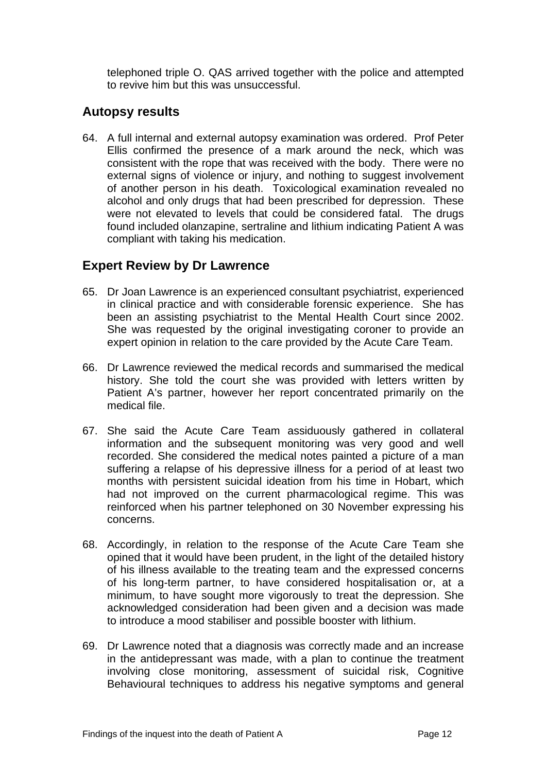telephoned triple O. QAS arrived together with the police and attempted to revive him but this was unsuccessful.

#### **Autopsy results**

64. A full internal and external autopsy examination was ordered. Prof Peter Ellis confirmed the presence of a mark around the neck, which was consistent with the rope that was received with the body. There were no external signs of violence or injury, and nothing to suggest involvement of another person in his death. Toxicological examination revealed no alcohol and only drugs that had been prescribed for depression. These were not elevated to levels that could be considered fatal. The drugs found included olanzapine, sertraline and lithium indicating Patient A was compliant with taking his medication.

## **Expert Review by Dr Lawrence**

- 65. Dr Joan Lawrence is an experienced consultant psychiatrist, experienced in clinical practice and with considerable forensic experience. She has been an assisting psychiatrist to the Mental Health Court since 2002. She was requested by the original investigating coroner to provide an expert opinion in relation to the care provided by the Acute Care Team.
- 66. Dr Lawrence reviewed the medical records and summarised the medical history. She told the court she was provided with letters written by Patient A's partner, however her report concentrated primarily on the medical file.
- 67. She said the Acute Care Team assiduously gathered in collateral information and the subsequent monitoring was very good and well recorded. She considered the medical notes painted a picture of a man suffering a relapse of his depressive illness for a period of at least two months with persistent suicidal ideation from his time in Hobart, which had not improved on the current pharmacological regime. This was reinforced when his partner telephoned on 30 November expressing his concerns.
- 68. Accordingly, in relation to the response of the Acute Care Team she opined that it would have been prudent, in the light of the detailed history of his illness available to the treating team and the expressed concerns of his long-term partner, to have considered hospitalisation or, at a minimum, to have sought more vigorously to treat the depression. She acknowledged consideration had been given and a decision was made to introduce a mood stabiliser and possible booster with lithium.
- 69. Dr Lawrence noted that a diagnosis was correctly made and an increase in the antidepressant was made, with a plan to continue the treatment involving close monitoring, assessment of suicidal risk, Cognitive Behavioural techniques to address his negative symptoms and general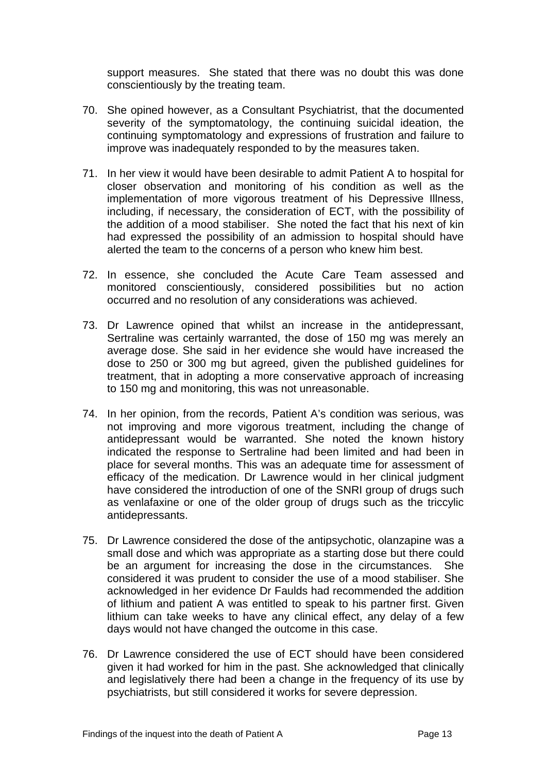support measures. She stated that there was no doubt this was done conscientiously by the treating team.

- 70. She opined however, as a Consultant Psychiatrist, that the documented severity of the symptomatology, the continuing suicidal ideation, the continuing symptomatology and expressions of frustration and failure to improve was inadequately responded to by the measures taken.
- 71. In her view it would have been desirable to admit Patient A to hospital for closer observation and monitoring of his condition as well as the implementation of more vigorous treatment of his Depressive Illness, including, if necessary, the consideration of ECT, with the possibility of the addition of a mood stabiliser. She noted the fact that his next of kin had expressed the possibility of an admission to hospital should have alerted the team to the concerns of a person who knew him best.
- 72. In essence, she concluded the Acute Care Team assessed and monitored conscientiously, considered possibilities but no action occurred and no resolution of any considerations was achieved.
- 73. Dr Lawrence opined that whilst an increase in the antidepressant, Sertraline was certainly warranted, the dose of 150 mg was merely an average dose. She said in her evidence she would have increased the dose to 250 or 300 mg but agreed, given the published guidelines for treatment, that in adopting a more conservative approach of increasing to 150 mg and monitoring, this was not unreasonable.
- 74. In her opinion, from the records, Patient A's condition was serious, was not improving and more vigorous treatment, including the change of antidepressant would be warranted. She noted the known history indicated the response to Sertraline had been limited and had been in place for several months. This was an adequate time for assessment of efficacy of the medication. Dr Lawrence would in her clinical judgment have considered the introduction of one of the SNRI group of drugs such as venlafaxine or one of the older group of drugs such as the triccylic antidepressants.
- 75. Dr Lawrence considered the dose of the antipsychotic, olanzapine was a small dose and which was appropriate as a starting dose but there could be an argument for increasing the dose in the circumstances. She considered it was prudent to consider the use of a mood stabiliser. She acknowledged in her evidence Dr Faulds had recommended the addition of lithium and patient A was entitled to speak to his partner first. Given lithium can take weeks to have any clinical effect, any delay of a few days would not have changed the outcome in this case.
- 76. Dr Lawrence considered the use of ECT should have been considered given it had worked for him in the past. She acknowledged that clinically and legislatively there had been a change in the frequency of its use by psychiatrists, but still considered it works for severe depression.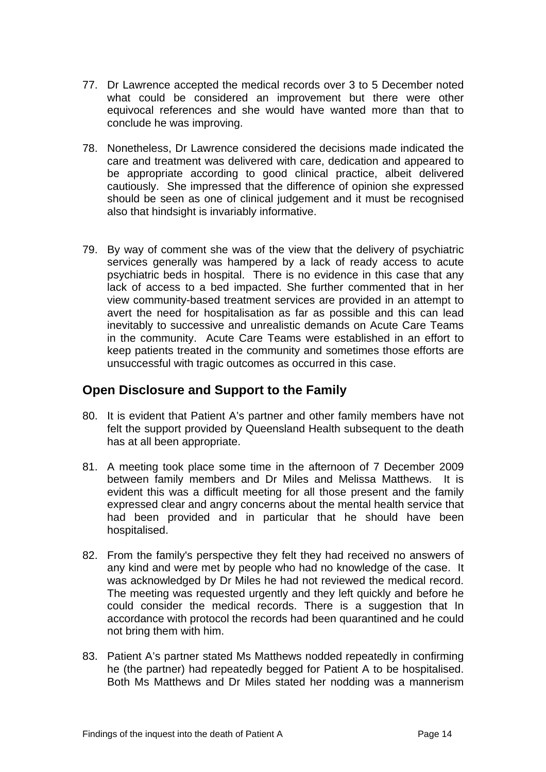- 77. Dr Lawrence accepted the medical records over 3 to 5 December noted what could be considered an improvement but there were other equivocal references and she would have wanted more than that to conclude he was improving.
- 78. Nonetheless, Dr Lawrence considered the decisions made indicated the care and treatment was delivered with care, dedication and appeared to be appropriate according to good clinical practice, albeit delivered cautiously. She impressed that the difference of opinion she expressed should be seen as one of clinical judgement and it must be recognised also that hindsight is invariably informative.
- 79. By way of comment she was of the view that the delivery of psychiatric services generally was hampered by a lack of ready access to acute psychiatric beds in hospital. There is no evidence in this case that any lack of access to a bed impacted. She further commented that in her view community-based treatment services are provided in an attempt to avert the need for hospitalisation as far as possible and this can lead inevitably to successive and unrealistic demands on Acute Care Teams in the community. Acute Care Teams were established in an effort to keep patients treated in the community and sometimes those efforts are unsuccessful with tragic outcomes as occurred in this case.

#### **Open Disclosure and Support to the Family**

- 80. It is evident that Patient A's partner and other family members have not felt the support provided by Queensland Health subsequent to the death has at all been appropriate.
- 81. A meeting took place some time in the afternoon of 7 December 2009 between family members and Dr Miles and Melissa Matthews. It is evident this was a difficult meeting for all those present and the family expressed clear and angry concerns about the mental health service that had been provided and in particular that he should have been hospitalised.
- 82. From the family's perspective they felt they had received no answers of any kind and were met by people who had no knowledge of the case. It was acknowledged by Dr Miles he had not reviewed the medical record. The meeting was requested urgently and they left quickly and before he could consider the medical records. There is a suggestion that In accordance with protocol the records had been quarantined and he could not bring them with him.
- 83. Patient A's partner stated Ms Matthews nodded repeatedly in confirming he (the partner) had repeatedly begged for Patient A to be hospitalised. Both Ms Matthews and Dr Miles stated her nodding was a mannerism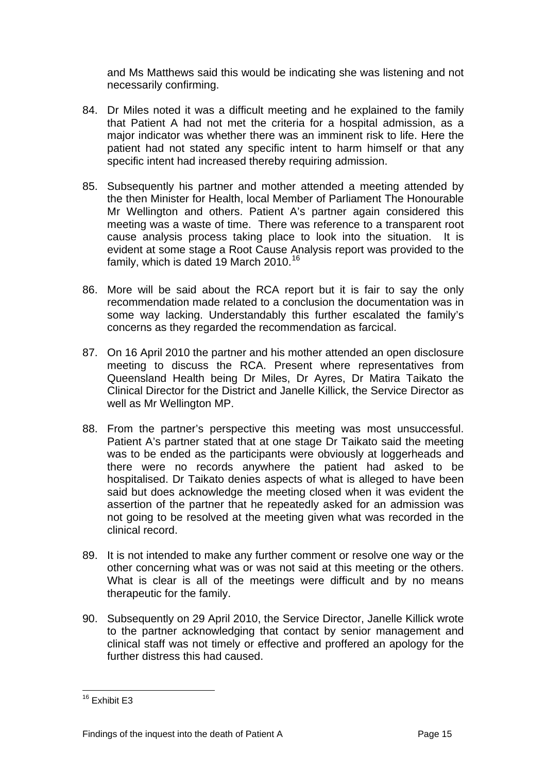and Ms Matthews said this would be indicating she was listening and not necessarily confirming.

- 84. Dr Miles noted it was a difficult meeting and he explained to the family that Patient A had not met the criteria for a hospital admission, as a major indicator was whether there was an imminent risk to life. Here the patient had not stated any specific intent to harm himself or that any specific intent had increased thereby requiring admission.
- 85. Subsequently his partner and mother attended a meeting attended by the then Minister for Health, local Member of Parliament The Honourable Mr Wellington and others. Patient A's partner again considered this meeting was a waste of time. There was reference to a transparent root cause analysis process taking place to look into the situation. It is evident at some stage a Root Cause Analysis report was provided to the family, which is dated 19 March 2010.<sup>[16](#page-15-0)</sup>
- 86. More will be said about the RCA report but it is fair to say the only recommendation made related to a conclusion the documentation was in some way lacking. Understandably this further escalated the family's concerns as they regarded the recommendation as farcical.
- 87. On 16 April 2010 the partner and his mother attended an open disclosure meeting to discuss the RCA. Present where representatives from Queensland Health being Dr Miles, Dr Ayres, Dr Matira Taikato the Clinical Director for the District and Janelle Killick, the Service Director as well as Mr Wellington MP.
- 88. From the partner's perspective this meeting was most unsuccessful. Patient A's partner stated that at one stage Dr Taikato said the meeting was to be ended as the participants were obviously at loggerheads and there were no records anywhere the patient had asked to be hospitalised. Dr Taikato denies aspects of what is alleged to have been said but does acknowledge the meeting closed when it was evident the assertion of the partner that he repeatedly asked for an admission was not going to be resolved at the meeting given what was recorded in the clinical record.
- 89. It is not intended to make any further comment or resolve one way or the other concerning what was or was not said at this meeting or the others. What is clear is all of the meetings were difficult and by no means therapeutic for the family.
- 90. Subsequently on 29 April 2010, the Service Director, Janelle Killick wrote to the partner acknowledging that contact by senior management and clinical staff was not timely or effective and proffered an apology for the further distress this had caused.

<span id="page-15-0"></span>l <sup>16</sup> Exhibit E3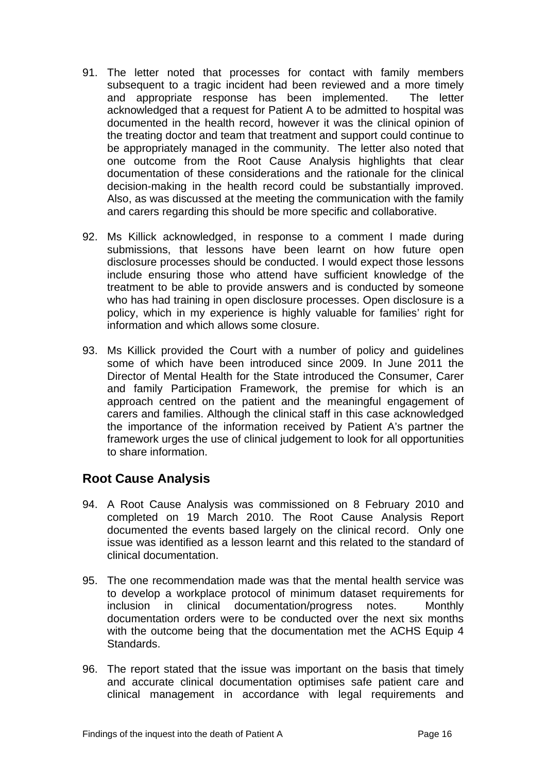- 91. The letter noted that processes for contact with family members subsequent to a tragic incident had been reviewed and a more timely and appropriate response has been implemented. The letter acknowledged that a request for Patient A to be admitted to hospital was documented in the health record, however it was the clinical opinion of the treating doctor and team that treatment and support could continue to be appropriately managed in the community. The letter also noted that one outcome from the Root Cause Analysis highlights that clear documentation of these considerations and the rationale for the clinical decision-making in the health record could be substantially improved. Also, as was discussed at the meeting the communication with the family and carers regarding this should be more specific and collaborative.
- 92. Ms Killick acknowledged, in response to a comment I made during submissions, that lessons have been learnt on how future open disclosure processes should be conducted. I would expect those lessons include ensuring those who attend have sufficient knowledge of the treatment to be able to provide answers and is conducted by someone who has had training in open disclosure processes. Open disclosure is a policy, which in my experience is highly valuable for families' right for information and which allows some closure.
- 93. Ms Killick provided the Court with a number of policy and guidelines some of which have been introduced since 2009. In June 2011 the Director of Mental Health for the State introduced the Consumer, Carer and family Participation Framework, the premise for which is an approach centred on the patient and the meaningful engagement of carers and families. Although the clinical staff in this case acknowledged the importance of the information received by Patient A's partner the framework urges the use of clinical judgement to look for all opportunities to share information.

## **Root Cause Analysis**

- 94. A Root Cause Analysis was commissioned on 8 February 2010 and completed on 19 March 2010. The Root Cause Analysis Report documented the events based largely on the clinical record. Only one issue was identified as a lesson learnt and this related to the standard of clinical documentation.
- 95. The one recommendation made was that the mental health service was to develop a workplace protocol of minimum dataset requirements for inclusion in clinical documentation/progress notes. Monthly documentation orders were to be conducted over the next six months with the outcome being that the documentation met the ACHS Equip 4 Standards.
- 96. The report stated that the issue was important on the basis that timely and accurate clinical documentation optimises safe patient care and clinical management in accordance with legal requirements and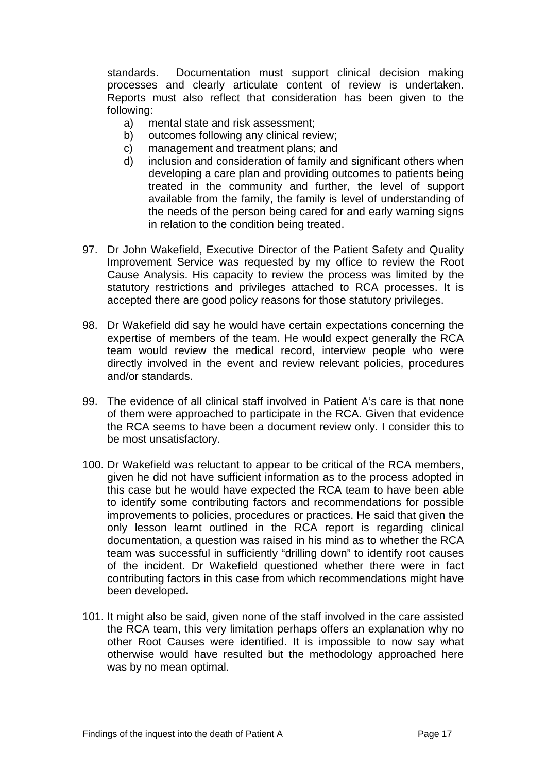standards. Documentation must support clinical decision making processes and clearly articulate content of review is undertaken. Reports must also reflect that consideration has been given to the following:

- a) mental state and risk assessment;
- b) outcomes following any clinical review;
- c) management and treatment plans; and
- d) inclusion and consideration of family and significant others when developing a care plan and providing outcomes to patients being treated in the community and further, the level of support available from the family, the family is level of understanding of the needs of the person being cared for and early warning signs in relation to the condition being treated.
- 97. Dr John Wakefield, Executive Director of the Patient Safety and Quality Improvement Service was requested by my office to review the Root Cause Analysis. His capacity to review the process was limited by the statutory restrictions and privileges attached to RCA processes. It is accepted there are good policy reasons for those statutory privileges.
- 98. Dr Wakefield did say he would have certain expectations concerning the expertise of members of the team. He would expect generally the RCA team would review the medical record, interview people who were directly involved in the event and review relevant policies, procedures and/or standards.
- 99. The evidence of all clinical staff involved in Patient A's care is that none of them were approached to participate in the RCA. Given that evidence the RCA seems to have been a document review only. I consider this to be most unsatisfactory.
- 100. Dr Wakefield was reluctant to appear to be critical of the RCA members, given he did not have sufficient information as to the process adopted in this case but he would have expected the RCA team to have been able to identify some contributing factors and recommendations for possible improvements to policies, procedures or practices. He said that given the only lesson learnt outlined in the RCA report is regarding clinical documentation, a question was raised in his mind as to whether the RCA team was successful in sufficiently "drilling down" to identify root causes of the incident. Dr Wakefield questioned whether there were in fact contributing factors in this case from which recommendations might have been developed**.**
- 101. It might also be said, given none of the staff involved in the care assisted the RCA team, this very limitation perhaps offers an explanation why no other Root Causes were identified. It is impossible to now say what otherwise would have resulted but the methodology approached here was by no mean optimal.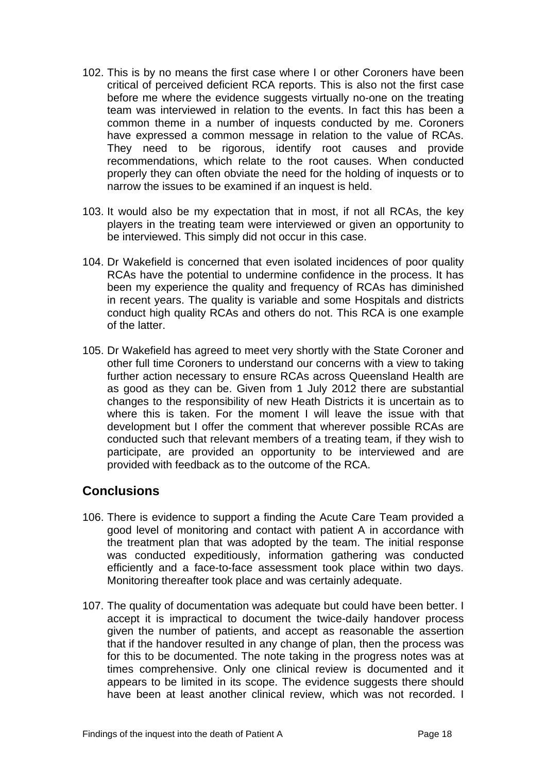- 102. This is by no means the first case where I or other Coroners have been critical of perceived deficient RCA reports. This is also not the first case before me where the evidence suggests virtually no-one on the treating team was interviewed in relation to the events. In fact this has been a common theme in a number of inquests conducted by me. Coroners have expressed a common message in relation to the value of RCAs. They need to be rigorous, identify root causes and provide recommendations, which relate to the root causes. When conducted properly they can often obviate the need for the holding of inquests or to narrow the issues to be examined if an inquest is held.
- 103. It would also be my expectation that in most, if not all RCAs, the key players in the treating team were interviewed or given an opportunity to be interviewed. This simply did not occur in this case.
- 104. Dr Wakefield is concerned that even isolated incidences of poor quality RCAs have the potential to undermine confidence in the process. It has been my experience the quality and frequency of RCAs has diminished in recent years. The quality is variable and some Hospitals and districts conduct high quality RCAs and others do not. This RCA is one example of the latter.
- 105. Dr Wakefield has agreed to meet very shortly with the State Coroner and other full time Coroners to understand our concerns with a view to taking further action necessary to ensure RCAs across Queensland Health are as good as they can be. Given from 1 July 2012 there are substantial changes to the responsibility of new Heath Districts it is uncertain as to where this is taken. For the moment I will leave the issue with that development but I offer the comment that wherever possible RCAs are conducted such that relevant members of a treating team, if they wish to participate, are provided an opportunity to be interviewed and are provided with feedback as to the outcome of the RCA.

#### **Conclusions**

- 106. There is evidence to support a finding the Acute Care Team provided a good level of monitoring and contact with patient A in accordance with the treatment plan that was adopted by the team. The initial response was conducted expeditiously, information gathering was conducted efficiently and a face-to-face assessment took place within two days. Monitoring thereafter took place and was certainly adequate.
- 107. The quality of documentation was adequate but could have been better. I accept it is impractical to document the twice-daily handover process given the number of patients, and accept as reasonable the assertion that if the handover resulted in any change of plan, then the process was for this to be documented. The note taking in the progress notes was at times comprehensive. Only one clinical review is documented and it appears to be limited in its scope. The evidence suggests there should have been at least another clinical review, which was not recorded. I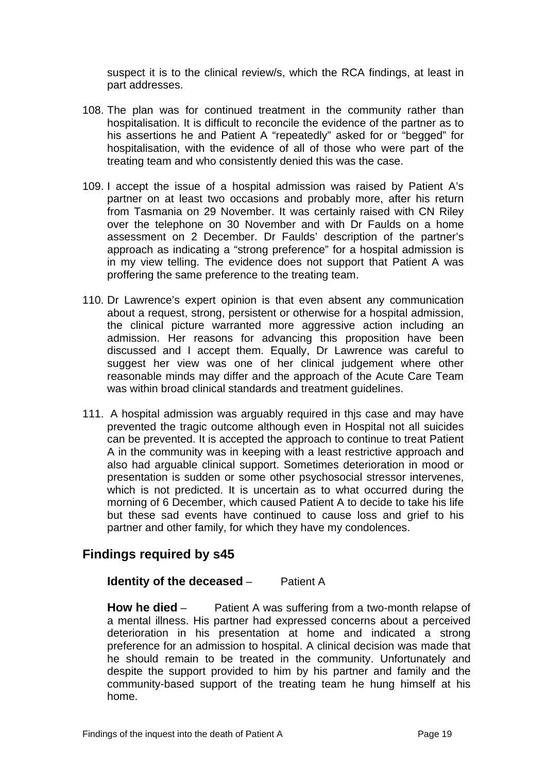suspect it is to the clinical review/s, which the RCA findings, at least in part addresses.

- 108. The plan was for continued treatment in the community rather than hospitalisation. It is difficult to reconcile the evidence of the partner as to his assertions he and Patient A "repeatedly" asked for or "begged" for hospitalisation, with the evidence of all of those who were part of the treating team and who consistently denied this was the case.
- 109. I accept the issue of a hospital admission was raised by Patient A's partner on at least two occasions and probably more, after his return from Tasmania on 29 November. It was certainly raised with CN Riley over the telephone on 30 November and with Dr Faulds on a home assessment on 2 December. Dr Faulds' description of the partner's approach as indicating a "strong preference" for a hospital admission is in my view telling. The evidence does not support that Patient A was proffering the same preference to the treating team.
- 110. Dr Lawrence's expert opinion is that even absent any communication about a request, strong, persistent or otherwise for a hospital admission, the clinical picture warranted more aggressive action including an admission. Her reasons for advancing this proposition have been discussed and I accept them. Equally, Dr Lawrence was careful to suggest her view was one of her clinical judgement where other reasonable minds may differ and the approach of the Acute Care Team was within broad clinical standards and treatment guidelines.
- 111. A hospital admission was arguably required in thjs case and may have prevented the tragic outcome although even in Hospital not all suicides can be prevented. It is accepted the approach to continue to treat Patient A in the community was in keeping with a least restrictive approach and also had arguable clinical support. Sometimes deterioration in mood or presentation is sudden or some other psychosocial stressor intervenes, which is not predicted. It is uncertain as to what occurred during the morning of 6 December, which caused Patient A to decide to take his life but these sad events have continued to cause loss and grief to his partner and other family, for which they have my condolences.

#### **Findings required by s45**

#### **Identity of the deceased – Patient A**

**How he died** – Patient A was suffering from a two-month relapse of a mental illness. His partner had expressed concerns about a perceived deterioration in his presentation at home and indicated a strong preference for an admission to hospital. A clinical decision was made that he should remain to be treated in the community. Unfortunately and despite the support provided to him by his partner and family and the community-based support of the treating team he hung himself at his home.